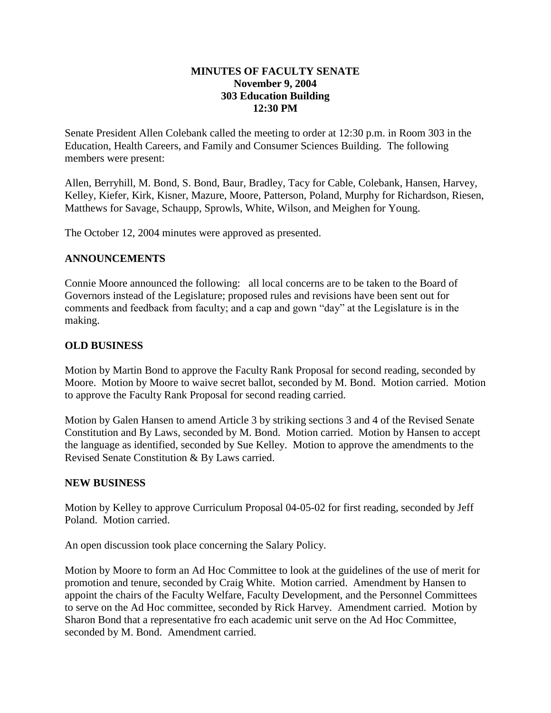### **MINUTES OF FACULTY SENATE November 9, 2004 303 Education Building 12:30 PM**

Senate President Allen Colebank called the meeting to order at 12:30 p.m. in Room 303 in the Education, Health Careers, and Family and Consumer Sciences Building. The following members were present:

Allen, Berryhill, M. Bond, S. Bond, Baur, Bradley, Tacy for Cable, Colebank, Hansen, Harvey, Kelley, Kiefer, Kirk, Kisner, Mazure, Moore, Patterson, Poland, Murphy for Richardson, Riesen, Matthews for Savage, Schaupp, Sprowls, White, Wilson, and Meighen for Young.

The October 12, 2004 minutes were approved as presented.

## **ANNOUNCEMENTS**

Connie Moore announced the following: all local concerns are to be taken to the Board of Governors instead of the Legislature; proposed rules and revisions have been sent out for comments and feedback from faculty; and a cap and gown "day" at the Legislature is in the making.

### **OLD BUSINESS**

Motion by Martin Bond to approve the Faculty Rank Proposal for second reading, seconded by Moore. Motion by Moore to waive secret ballot, seconded by M. Bond. Motion carried. Motion to approve the Faculty Rank Proposal for second reading carried.

Motion by Galen Hansen to amend Article 3 by striking sections 3 and 4 of the Revised Senate Constitution and By Laws, seconded by M. Bond. Motion carried. Motion by Hansen to accept the language as identified, seconded by Sue Kelley. Motion to approve the amendments to the Revised Senate Constitution & By Laws carried.

### **NEW BUSINESS**

Motion by Kelley to approve Curriculum Proposal 04-05-02 for first reading, seconded by Jeff Poland. Motion carried.

An open discussion took place concerning the Salary Policy.

Motion by Moore to form an Ad Hoc Committee to look at the guidelines of the use of merit for promotion and tenure, seconded by Craig White. Motion carried. Amendment by Hansen to appoint the chairs of the Faculty Welfare, Faculty Development, and the Personnel Committees to serve on the Ad Hoc committee, seconded by Rick Harvey. Amendment carried. Motion by Sharon Bond that a representative fro each academic unit serve on the Ad Hoc Committee, seconded by M. Bond. Amendment carried.